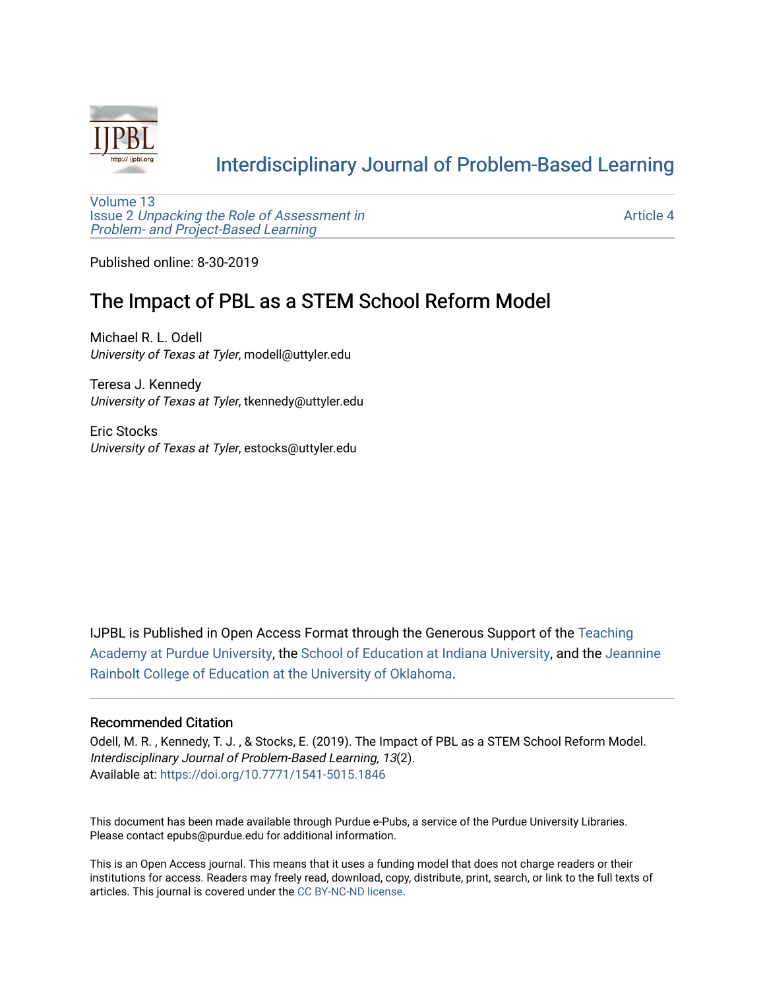

# [Interdisciplinary Journal of Problem-Based Learning](https://docs.lib.purdue.edu/ijpbl)

[Volume 13](https://docs.lib.purdue.edu/ijpbl/vol13) Issue 2 [Unpacking the Role of Assessment in](https://docs.lib.purdue.edu/ijpbl/vol13/iss2)  [Problem- and Project-Based Learning](https://docs.lib.purdue.edu/ijpbl/vol13/iss2)

[Article 4](https://docs.lib.purdue.edu/ijpbl/vol13/iss2/4) 

Published online: 8-30-2019

## The Impact of PBL as a STEM School Reform Model

Michael R. L. Odell University of Texas at Tyler, modell@uttyler.edu

Teresa J. Kennedy University of Texas at Tyler, tkennedy@uttyler.edu

Eric Stocks University of Texas at Tyler, estocks@uttyler.edu

IJPBL is Published in Open Access Format through the Generous Support of the [Teaching](https://www.purdue.edu/cie/aboutus/teachingacademy.html) [Academy at Purdue University](https://www.purdue.edu/cie/aboutus/teachingacademy.html), the [School of Education at Indiana University,](https://education.indiana.edu/index.html) and the [Jeannine](http://ou.edu/education) [Rainbolt College of Education at the University of Oklahoma](http://ou.edu/education).

#### Recommended Citation

Odell, M. R. , Kennedy, T. J. , & Stocks, E. (2019). The Impact of PBL as a STEM School Reform Model. Interdisciplinary Journal of Problem-Based Learning, 13(2). Available at:<https://doi.org/10.7771/1541-5015.1846>

This document has been made available through Purdue e-Pubs, a service of the Purdue University Libraries. Please contact epubs@purdue.edu for additional information.

This is an Open Access journal. This means that it uses a funding model that does not charge readers or their institutions for access. Readers may freely read, download, copy, distribute, print, search, or link to the full texts of articles. This journal is covered under the [CC BY-NC-ND license](https://creativecommons.org/licenses/by-nc-nd/4.0/).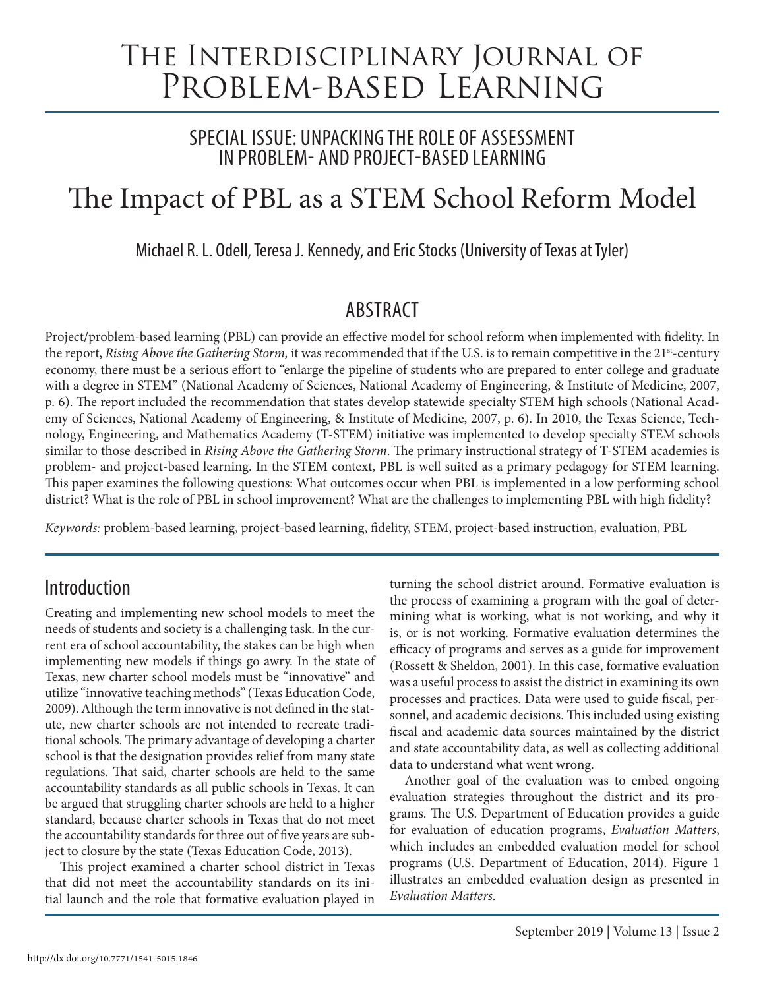# The Interdisciplinary Journal of Problem-based Learning

## SPECIAL ISSUE: UNPACKING THE ROLE OF ASSESSMENT IN PROBLEM- AND PROJECT-BASED LEARNING

# The Impact of PBL as a STEM School Reform Model

Michael R. L. Odell, Teresa J. Kennedy, and Eric Stocks (University of Texas at Tyler)

## **ABSTRACT**

Project/problem-based learning (PBL) can provide an effective model for school reform when implemented with fidelity. In the report, *Rising Above the Gathering Storm*, it was recommended that if the U.S. is to remain competitive in the 21<sup>st</sup>-century economy, there must be a serious effort to "enlarge the pipeline of students who are prepared to enter college and graduate with a degree in STEM" (National Academy of Sciences, National Academy of Engineering, & Institute of Medicine, 2007, p. 6). The report included the recommendation that states develop statewide specialty STEM high schools (National Academy of Sciences, National Academy of Engineering, & Institute of Medicine, 2007, p. 6). In 2010, the Texas Science, Technology, Engineering, and Mathematics Academy (T-STEM) initiative was implemented to develop specialty STEM schools similar to those described in *Rising Above the Gathering Storm*. The primary instructional strategy of T-STEM academies is problem- and project-based learning. In the STEM context, PBL is well suited as a primary pedagogy for STEM learning. This paper examines the following questions: What outcomes occur when PBL is implemented in a low performing school district? What is the role of PBL in school improvement? What are the challenges to implementing PBL with high fidelity?

*Keywords:* problem-based learning, project-based learning, fidelity, STEM, project-based instruction, evaluation, PBL

# Introduction

Creating and implementing new school models to meet the needs of students and society is a challenging task. In the current era of school accountability, the stakes can be high when implementing new models if things go awry. In the state of Texas, new charter school models must be "innovative" and utilize "innovative teaching methods" (Texas Education Code, 2009). Although the term innovative is not defined in the statute, new charter schools are not intended to recreate traditional schools. The primary advantage of developing a charter school is that the designation provides relief from many state regulations. That said, charter schools are held to the same accountability standards as all public schools in Texas. It can be argued that struggling charter schools are held to a higher standard, because charter schools in Texas that do not meet the accountability standards for three out of five years are subject to closure by the state (Texas Education Code, 2013).

This project examined a charter school district in Texas that did not meet the accountability standards on its initial launch and the role that formative evaluation played in

turning the school district around. Formative evaluation is the process of examining a program with the goal of determining what is working, what is not working, and why it is, or is not working. Formative evaluation determines the efficacy of programs and serves as a guide for improvement (Rossett & Sheldon, 2001). In this case, formative evaluation was a useful process to assist the district in examining its own processes and practices. Data were used to guide fiscal, personnel, and academic decisions. This included using existing fiscal and academic data sources maintained by the district and state accountability data, as well as collecting additional data to understand what went wrong.

Another goal of the evaluation was to embed ongoing evaluation strategies throughout the district and its programs. The U.S. Department of Education provides a guide for evaluation of education programs, *Evaluation Matters*, which includes an embedded evaluation model for school programs (U.S. Department of Education, 2014). Figure 1 illustrates an embedded evaluation design as presented in *Evaluation Matters*.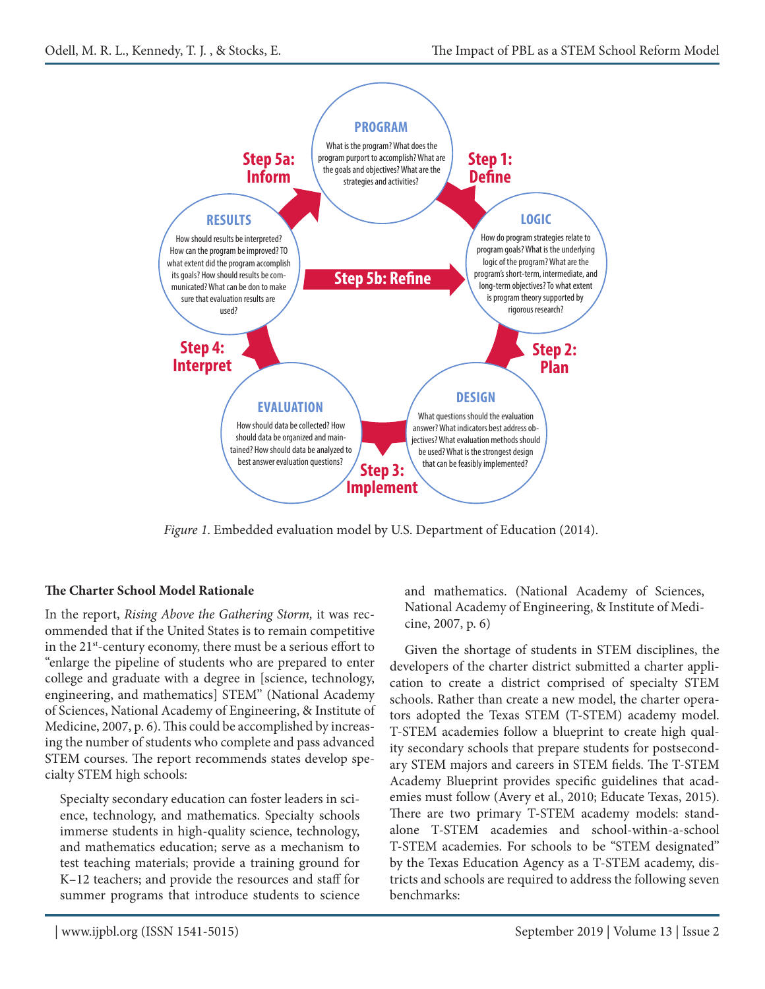

*Figure 1*. Embedded evaluation model by U.S. Department of Education (2014).

### **The Charter School Model Rationale**

In the report, *Rising Above the Gathering Storm,* it was recommended that if the United States is to remain competitive in the 21st-century economy, there must be a serious effort to "enlarge the pipeline of students who are prepared to enter college and graduate with a degree in [science, technology, engineering, and mathematics] STEM" (National Academy of Sciences, National Academy of Engineering, & Institute of Medicine, 2007, p. 6). This could be accomplished by increasing the number of students who complete and pass advanced STEM courses. The report recommends states develop specialty STEM high schools:

Specialty secondary education can foster leaders in science, technology, and mathematics. Specialty schools immerse students in high-quality science, technology, and mathematics education; serve as a mechanism to test teaching materials; provide a training ground for K–12 teachers; and provide the resources and staff for summer programs that introduce students to science and mathematics. (National Academy of Sciences, National Academy of Engineering, & Institute of Medicine, 2007, p. 6)

Given the shortage of students in STEM disciplines, the developers of the charter district submitted a charter application to create a district comprised of specialty STEM schools. Rather than create a new model, the charter operators adopted the Texas STEM (T-STEM) academy model. T-STEM academies follow a blueprint to create high quality secondary schools that prepare students for postsecondary STEM majors and careers in STEM fields. The T-STEM Academy Blueprint provides specific guidelines that academies must follow (Avery et al., 2010; Educate Texas, 2015). There are two primary T-STEM academy models: standalone T-STEM academies and school-within-a-school T-STEM academies. For schools to be "STEM designated" by the Texas Education Agency as a T-STEM academy, districts and schools are required to address the following seven benchmarks: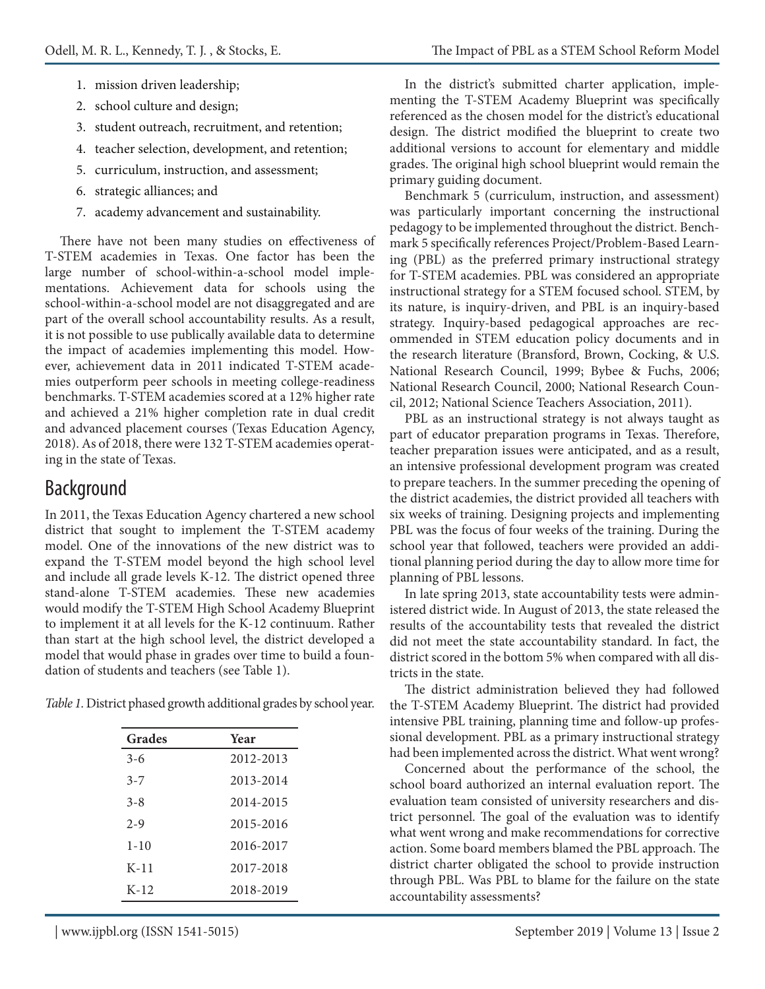- 1. mission driven leadership;
- 2. school culture and design;
- 3. student outreach, recruitment, and retention;
- 4. teacher selection, development, and retention;
- 5. curriculum, instruction, and assessment;
- 6. strategic alliances; and
- 7. academy advancement and sustainability.

There have not been many studies on effectiveness of T-STEM academies in Texas. One factor has been the large number of school-within-a-school model implementations. Achievement data for schools using the school-within-a-school model are not disaggregated and are part of the overall school accountability results. As a result, it is not possible to use publically available data to determine the impact of academies implementing this model. However, achievement data in 2011 indicated T-STEM academies outperform peer schools in meeting college-readiness benchmarks. T-STEM academies scored at a 12% higher rate and achieved a 21% higher completion rate in dual credit and advanced placement courses (Texas Education Agency, 2018). As of 2018, there were 132 T-STEM academies operating in the state of Texas.

## Background

In 2011, the Texas Education Agency chartered a new school district that sought to implement the T-STEM academy model. One of the innovations of the new district was to expand the T-STEM model beyond the high school level and include all grade levels K-12. The district opened three stand-alone T-STEM academies. These new academies would modify the T-STEM High School Academy Blueprint to implement it at all levels for the K-12 continuum. Rather than start at the high school level, the district developed a model that would phase in grades over time to build a foundation of students and teachers (see Table 1).

*Table 1.* District phased growth additional grades by school year.

| Grades   | Year      |
|----------|-----------|
| $3-6$    | 2012-2013 |
| $3 - 7$  | 2013-2014 |
| $3 - 8$  | 2014-2015 |
| $2 - 9$  | 2015-2016 |
| $1 - 10$ | 2016-2017 |
| $K-11$   | 2017-2018 |
| $K-12$   | 2018-2019 |

In the district's submitted charter application, implementing the T-STEM Academy Blueprint was specifically referenced as the chosen model for the district's educational design. The district modified the blueprint to create two additional versions to account for elementary and middle grades. The original high school blueprint would remain the primary guiding document.

Benchmark 5 (curriculum, instruction, and assessment) was particularly important concerning the instructional pedagogy to be implemented throughout the district. Benchmark 5 specifically references Project/Problem-Based Learning (PBL) as the preferred primary instructional strategy for T-STEM academies. PBL was considered an appropriate instructional strategy for a STEM focused school. STEM, by its nature, is inquiry-driven, and PBL is an inquiry-based strategy. Inquiry-based pedagogical approaches are recommended in STEM education policy documents and in the research literature (Bransford, Brown, Cocking, & U.S. National Research Council, 1999; Bybee & Fuchs, 2006; National Research Council, 2000; National Research Council, 2012; National Science Teachers Association, 2011).

PBL as an instructional strategy is not always taught as part of educator preparation programs in Texas. Therefore, teacher preparation issues were anticipated, and as a result, an intensive professional development program was created to prepare teachers. In the summer preceding the opening of the district academies, the district provided all teachers with six weeks of training. Designing projects and implementing PBL was the focus of four weeks of the training. During the school year that followed, teachers were provided an additional planning period during the day to allow more time for planning of PBL lessons.

In late spring 2013, state accountability tests were administered district wide. In August of 2013, the state released the results of the accountability tests that revealed the district did not meet the state accountability standard. In fact, the district scored in the bottom 5% when compared with all districts in the state.

The district administration believed they had followed the T-STEM Academy Blueprint. The district had provided intensive PBL training, planning time and follow-up professional development. PBL as a primary instructional strategy had been implemented across the district. What went wrong?

Concerned about the performance of the school, the school board authorized an internal evaluation report. The evaluation team consisted of university researchers and district personnel. The goal of the evaluation was to identify what went wrong and make recommendations for corrective action. Some board members blamed the PBL approach. The district charter obligated the school to provide instruction through PBL. Was PBL to blame for the failure on the state accountability assessments?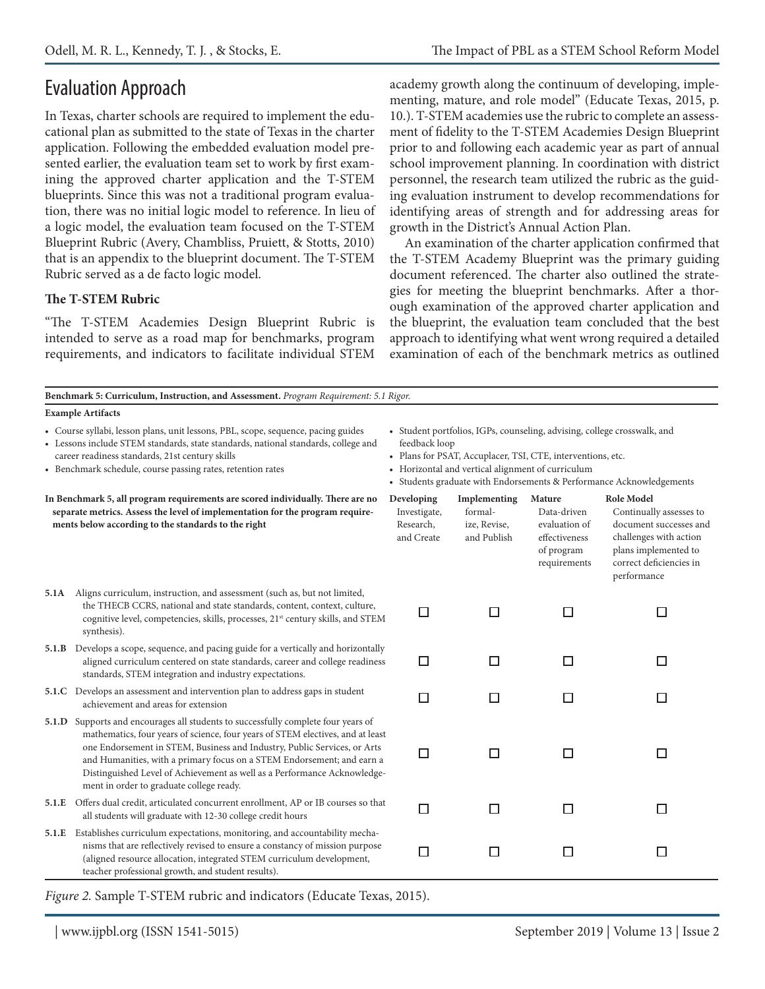# Evaluation Approach

In Texas, charter schools are required to implement the educational plan as submitted to the state of Texas in the charter application. Following the embedded evaluation model presented earlier, the evaluation team set to work by first examining the approved charter application and the T-STEM blueprints. Since this was not a traditional program evaluation, there was no initial logic model to reference. In lieu of a logic model, the evaluation team focused on the T-STEM Blueprint Rubric (Avery, Chambliss, Pruiett, & Stotts, 2010) that is an appendix to the blueprint document. The T-STEM Rubric served as a de facto logic model.

#### **The T-STEM Rubric**

"The T-STEM Academies Design Blueprint Rubric is intended to serve as a road map for benchmarks, program requirements, and indicators to facilitate individual STEM academy growth along the continuum of developing, implementing, mature, and role model" (Educate Texas, 2015, p. 10.). T-STEM academies use the rubric to complete an assessment of fidelity to the T-STEM Academies Design Blueprint prior to and following each academic year as part of annual school improvement planning. In coordination with district personnel, the research team utilized the rubric as the guiding evaluation instrument to develop recommendations for identifying areas of strength and for addressing areas for growth in the District's Annual Action Plan.

An examination of the charter application confirmed that the T-STEM Academy Blueprint was the primary guiding document referenced. The charter also outlined the strategies for meeting the blueprint benchmarks. After a thorough examination of the approved charter application and the blueprint, the evaluation team concluded that the best approach to identifying what went wrong required a detailed examination of each of the benchmark metrics as outlined

| <b>Example Artifacts</b>                                                                                                                                                                                                                                                                                                                                     |                                                                                                                                                                                                                                                                                                                                                                                                                                                                                                                                                                                                                                                                                                                                                                                                                                                                                                                                      |                                                        |                                                                                       |                                                                                                                                                                    |  |
|--------------------------------------------------------------------------------------------------------------------------------------------------------------------------------------------------------------------------------------------------------------------------------------------------------------------------------------------------------------|--------------------------------------------------------------------------------------------------------------------------------------------------------------------------------------------------------------------------------------------------------------------------------------------------------------------------------------------------------------------------------------------------------------------------------------------------------------------------------------------------------------------------------------------------------------------------------------------------------------------------------------------------------------------------------------------------------------------------------------------------------------------------------------------------------------------------------------------------------------------------------------------------------------------------------------|--------------------------------------------------------|---------------------------------------------------------------------------------------|--------------------------------------------------------------------------------------------------------------------------------------------------------------------|--|
|                                                                                                                                                                                                                                                                                                                                                              |                                                                                                                                                                                                                                                                                                                                                                                                                                                                                                                                                                                                                                                                                                                                                                                                                                                                                                                                      |                                                        |                                                                                       |                                                                                                                                                                    |  |
| • Course syllabi, lesson plans, unit lessons, PBL, scope, sequence, pacing guides                                                                                                                                                                                                                                                                            | • Student portfolios, IGPs, counseling, advising, college crosswalk, and<br>feedback loop<br>• Plans for PSAT, Accuplacer, TSI, CTE, interventions, etc.<br>• Horizontal and vertical alignment of curriculum<br>• Students graduate with Endorsements & Performance Acknowledgements                                                                                                                                                                                                                                                                                                                                                                                                                                                                                                                                                                                                                                                |                                                        |                                                                                       |                                                                                                                                                                    |  |
|                                                                                                                                                                                                                                                                                                                                                              | Investigate,<br>Research,<br>and Create                                                                                                                                                                                                                                                                                                                                                                                                                                                                                                                                                                                                                                                                                                                                                                                                                                                                                              | Implementing<br>formal-<br>ize, Revise,<br>and Publish | Mature<br>Data-driven<br>evaluation of<br>effectiveness<br>of program<br>requirements | <b>Role Model</b><br>Continually assesses to<br>document successes and<br>challenges with action<br>plans implemented to<br>correct deficiencies in<br>performance |  |
| the THECB CCRS, national and state standards, content, context, culture,<br>cognitive level, competencies, skills, processes, 21 <sup>st</sup> century skills, and STEM<br>synthesis).                                                                                                                                                                       | $\Box$                                                                                                                                                                                                                                                                                                                                                                                                                                                                                                                                                                                                                                                                                                                                                                                                                                                                                                                               | □                                                      | □                                                                                     | □                                                                                                                                                                  |  |
| aligned curriculum centered on state standards, career and college readiness<br>standards, STEM integration and industry expectations.                                                                                                                                                                                                                       | $\Box$                                                                                                                                                                                                                                                                                                                                                                                                                                                                                                                                                                                                                                                                                                                                                                                                                                                                                                                               | П                                                      | П                                                                                     | П                                                                                                                                                                  |  |
| achievement and areas for extension                                                                                                                                                                                                                                                                                                                          | □                                                                                                                                                                                                                                                                                                                                                                                                                                                                                                                                                                                                                                                                                                                                                                                                                                                                                                                                    | □                                                      | П                                                                                     | П                                                                                                                                                                  |  |
| mathematics, four years of science, four years of STEM electives, and at least<br>one Endorsement in STEM, Business and Industry, Public Services, or Arts<br>and Humanities, with a primary focus on a STEM Endorsement; and earn a<br>Distinguished Level of Achievement as well as a Performance Acknowledge-<br>ment in order to graduate college ready. | $\Box$                                                                                                                                                                                                                                                                                                                                                                                                                                                                                                                                                                                                                                                                                                                                                                                                                                                                                                                               | □                                                      | П                                                                                     | $\Box$                                                                                                                                                             |  |
| all students will graduate with 12-30 college credit hours                                                                                                                                                                                                                                                                                                   | $\Box$                                                                                                                                                                                                                                                                                                                                                                                                                                                                                                                                                                                                                                                                                                                                                                                                                                                                                                                               | $\Box$                                                 | П                                                                                     | П                                                                                                                                                                  |  |
| nisms that are reflectively revised to ensure a constancy of mission purpose<br>(aligned resource allocation, integrated STEM curriculum development,<br>teacher professional growth, and student results).                                                                                                                                                  | $\Box$                                                                                                                                                                                                                                                                                                                                                                                                                                                                                                                                                                                                                                                                                                                                                                                                                                                                                                                               | □                                                      | П                                                                                     | □                                                                                                                                                                  |  |
|                                                                                                                                                                                                                                                                                                                                                              | • Lessons include STEM standards, state standards, national standards, college and<br>career readiness standards, 21st century skills<br>• Benchmark schedule, course passing rates, retention rates<br>In Benchmark 5, all program requirements are scored individually. There are no<br>separate metrics. Assess the level of implementation for the program require-<br>ments below according to the standards to the right<br>Aligns curriculum, instruction, and assessment (such as, but not limited,<br>Develops a scope, sequence, and pacing guide for a vertically and horizontally<br>5.1.C Develops an assessment and intervention plan to address gaps in student<br>5.1.D Supports and encourages all students to successfully complete four years of<br>Offers dual credit, articulated concurrent enrollment, AP or IB courses so that<br>Establishes curriculum expectations, monitoring, and accountability mecha- | Developing                                             |                                                                                       |                                                                                                                                                                    |  |

*Figure 2.* Sample T-STEM rubric and indicators (Educate Texas, 2015).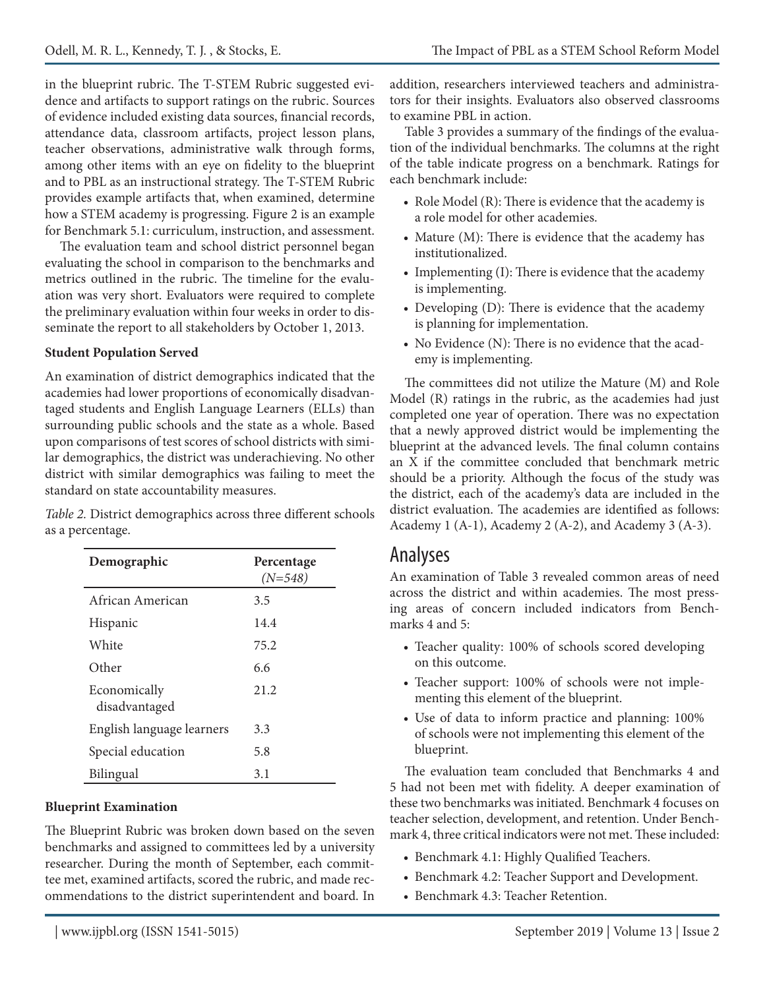in the blueprint rubric. The T-STEM Rubric suggested evidence and artifacts to support ratings on the rubric. Sources of evidence included existing data sources, financial records, attendance data, classroom artifacts, project lesson plans, teacher observations, administrative walk through forms, among other items with an eye on fidelity to the blueprint and to PBL as an instructional strategy. The T-STEM Rubric provides example artifacts that, when examined, determine how a STEM academy is progressing. Figure 2 is an example for Benchmark 5.1: curriculum, instruction, and assessment.

The evaluation team and school district personnel began evaluating the school in comparison to the benchmarks and metrics outlined in the rubric. The timeline for the evaluation was very short. Evaluators were required to complete the preliminary evaluation within four weeks in order to disseminate the report to all stakeholders by October 1, 2013.

#### **Student Population Served**

An examination of district demographics indicated that the academies had lower proportions of economically disadvantaged students and English Language Learners (ELLs) than surrounding public schools and the state as a whole. Based upon comparisons of test scores of school districts with similar demographics, the district was underachieving. No other district with similar demographics was failing to meet the standard on state accountability measures.

*Table 2.* District demographics across three different schools as a percentage.

| Demographic                   | Percentage<br>$(N=548)$ |
|-------------------------------|-------------------------|
| African American              | 3.5                     |
| Hispanic                      | 14.4                    |
| White                         | 75.2                    |
| Other                         | 6.6                     |
| Economically<br>disadvantaged | 21.2                    |
| English language learners     | 3.3                     |
| Special education             | 5.8                     |
| Bilingual                     | 3.1                     |

#### **Blueprint Examination**

The Blueprint Rubric was broken down based on the seven benchmarks and assigned to committees led by a university researcher. During the month of September, each committee met, examined artifacts, scored the rubric, and made recommendations to the district superintendent and board. In addition, researchers interviewed teachers and administrators for their insights. Evaluators also observed classrooms to examine PBL in action.

Table 3 provides a summary of the findings of the evaluation of the individual benchmarks. The columns at the right of the table indicate progress on a benchmark. Ratings for each benchmark include:

- Role Model (R): There is evidence that the academy is a role model for other academies.
- Mature (M): There is evidence that the academy has institutionalized.
- Implementing (I): There is evidence that the academy is implementing.
- Developing (D): There is evidence that the academy is planning for implementation.
- No Evidence (N): There is no evidence that the academy is implementing.

The committees did not utilize the Mature (M) and Role Model (R) ratings in the rubric, as the academies had just completed one year of operation. There was no expectation that a newly approved district would be implementing the blueprint at the advanced levels. The final column contains an X if the committee concluded that benchmark metric should be a priority. Although the focus of the study was the district, each of the academy's data are included in the district evaluation. The academies are identified as follows: Academy 1 (A-1), Academy 2 (A-2), and Academy 3 (A-3).

### Analyses

An examination of Table 3 revealed common areas of need across the district and within academies. The most pressing areas of concern included indicators from Benchmarks 4 and 5:

- Teacher quality: 100% of schools scored developing on this outcome.
- Teacher support: 100% of schools were not implementing this element of the blueprint.
- Use of data to inform practice and planning: 100% of schools were not implementing this element of the blueprint.

The evaluation team concluded that Benchmarks 4 and 5 had not been met with fidelity. A deeper examination of these two benchmarks was initiated. Benchmark 4 focuses on teacher selection, development, and retention. Under Benchmark 4, three critical indicators were not met. These included:

- Benchmark 4.1: Highly Qualified Teachers.
- Benchmark 4.2: Teacher Support and Development.
- Benchmark 4.3: Teacher Retention.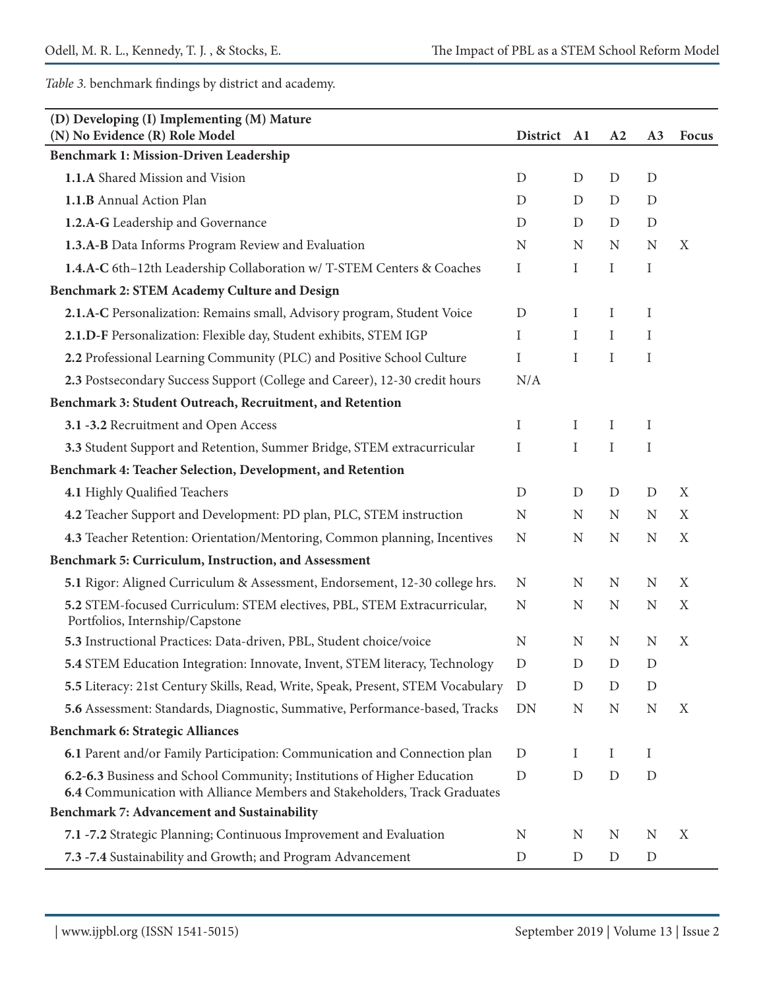*Table 3.* benchmark findings by district and academy.

| (D) Developing (I) Implementing (M) Mature<br>(N) No Evidence (R) Role Model                                                                         | District A1 |              | A2            | A <sub>3</sub> | <b>Focus</b> |
|------------------------------------------------------------------------------------------------------------------------------------------------------|-------------|--------------|---------------|----------------|--------------|
| Benchmark 1: Mission-Driven Leadership                                                                                                               |             |              |               |                |              |
| 1.1.A Shared Mission and Vision                                                                                                                      | D           | D            | D             | D              |              |
| 1.1.B Annual Action Plan                                                                                                                             | D           | D            | D             | D              |              |
| 1.2.A-G Leadership and Governance                                                                                                                    | D           | D            | D             | $\mathbf D$    |              |
| 1.3.A-B Data Informs Program Review and Evaluation                                                                                                   | N           | $\mathbf N$  | N             | N              | X            |
| 1.4.A-C 6th-12th Leadership Collaboration w/ T-STEM Centers & Coaches                                                                                | Ι           | I            | Ι             | Ι              |              |
| Benchmark 2: STEM Academy Culture and Design                                                                                                         |             |              |               |                |              |
| 2.1.A-C Personalization: Remains small, Advisory program, Student Voice                                                                              | D           | I            | I             | Ι              |              |
| 2.1.D-F Personalization: Flexible day, Student exhibits, STEM IGP                                                                                    | I           | $\bf{I}$     | I             | Ι              |              |
| 2.2 Professional Learning Community (PLC) and Positive School Culture                                                                                | I           | $\mathbf I$  | I             | Ι              |              |
| 2.3 Postsecondary Success Support (College and Career), 12-30 credit hours                                                                           | N/A         |              |               |                |              |
| Benchmark 3: Student Outreach, Recruitment, and Retention                                                                                            |             |              |               |                |              |
| 3.1 -3.2 Recruitment and Open Access                                                                                                                 | I           | Ι            | I             | $\bf{I}$       |              |
| 3.3 Student Support and Retention, Summer Bridge, STEM extracurricular                                                                               | I           | I            | $\bf{I}$      | I              |              |
| Benchmark 4: Teacher Selection, Development, and Retention                                                                                           |             |              |               |                |              |
| 4.1 Highly Qualified Teachers                                                                                                                        | D           | D            | D             | D              | X            |
| 4.2 Teacher Support and Development: PD plan, PLC, STEM instruction                                                                                  | N           | $\mathbf N$  | N             | N              | X            |
| 4.3 Teacher Retention: Orientation/Mentoring, Common planning, Incentives                                                                            | N           | $\mathbf N$  | N             | N              | X            |
| Benchmark 5: Curriculum, Instruction, and Assessment                                                                                                 |             |              |               |                |              |
| 5.1 Rigor: Aligned Curriculum & Assessment, Endorsement, 12-30 college hrs.                                                                          | N           | N            | N             | N              | X            |
| 5.2 STEM-focused Curriculum: STEM electives, PBL, STEM Extracurricular,<br>Portfolios, Internship/Capstone                                           | N           | $\mathbf N$  | N             | N              | $\mathbf X$  |
| 5.3 Instructional Practices: Data-driven, PBL, Student choice/voice                                                                                  | N           | N            | N             | N              | X            |
| 5.4 STEM Education Integration: Innovate, Invent, STEM literacy, Technology                                                                          | D           | $\mathbf{D}$ | $\mathcal{D}$ | D              |              |
| 5.5 Literacy: 21st Century Skills, Read, Write, Speak, Present, STEM Vocabulary                                                                      | D           | D            | D             | D              |              |
| 5.6 Assessment: Standards, Diagnostic, Summative, Performance-based, Tracks                                                                          | DN          | N            | N             | N              | X            |
| Benchmark 6: Strategic Alliances                                                                                                                     |             |              |               |                |              |
| 6.1 Parent and/or Family Participation: Communication and Connection plan                                                                            | D           | $\bf{l}$     | $\bf{l}$      | $\bf{l}$       |              |
| 6.2-6.3 Business and School Community; Institutions of Higher Education<br>6.4 Communication with Alliance Members and Stakeholders, Track Graduates | $\mathbf D$ | D            | D             | $\mathbf D$    |              |
| Benchmark 7: Advancement and Sustainability                                                                                                          |             |              |               |                |              |
| 7.1 -7.2 Strategic Planning; Continuous Improvement and Evaluation                                                                                   | N           | N            | N             | N              | X            |
| 7.3 -7.4 Sustainability and Growth; and Program Advancement                                                                                          | $\mathbf D$ | D            | D             | $\mathbf D$    |              |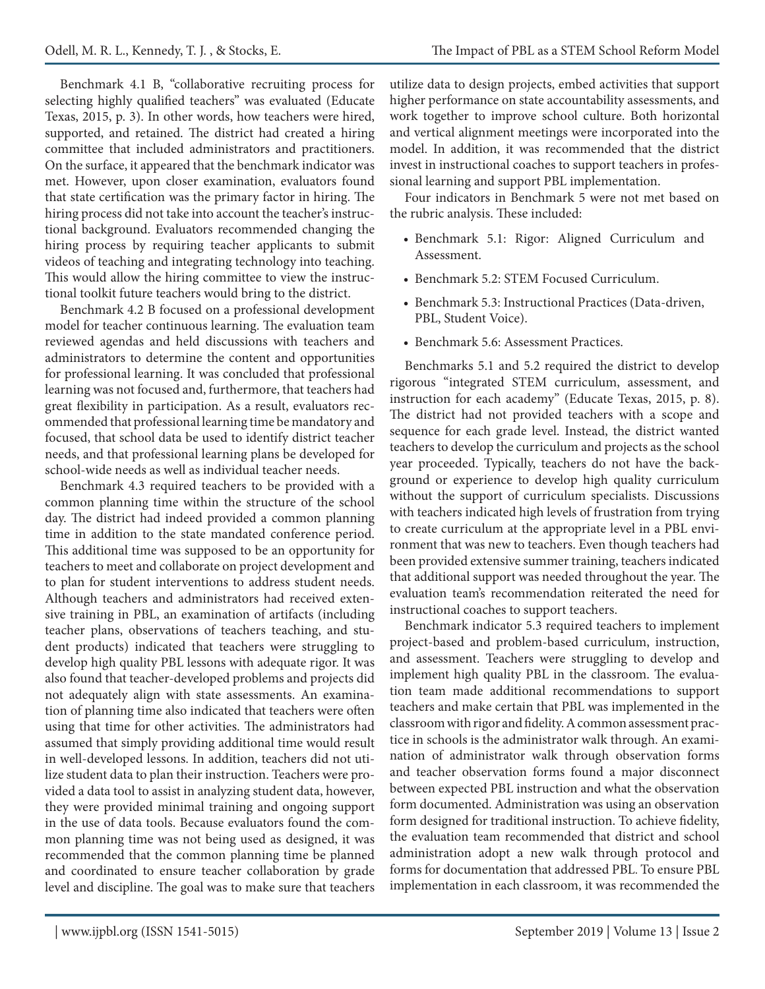Benchmark 4.1 B, "collaborative recruiting process for selecting highly qualified teachers" was evaluated (Educate Texas, 2015, p. 3). In other words, how teachers were hired, supported, and retained. The district had created a hiring committee that included administrators and practitioners. On the surface, it appeared that the benchmark indicator was met. However, upon closer examination, evaluators found that state certification was the primary factor in hiring. The hiring process did not take into account the teacher's instructional background. Evaluators recommended changing the hiring process by requiring teacher applicants to submit videos of teaching and integrating technology into teaching. This would allow the hiring committee to view the instructional toolkit future teachers would bring to the district.

Benchmark 4.2 B focused on a professional development model for teacher continuous learning. The evaluation team reviewed agendas and held discussions with teachers and administrators to determine the content and opportunities for professional learning. It was concluded that professional learning was not focused and, furthermore, that teachers had great flexibility in participation. As a result, evaluators recommended that professional learning time be mandatory and focused, that school data be used to identify district teacher needs, and that professional learning plans be developed for school-wide needs as well as individual teacher needs.

Benchmark 4.3 required teachers to be provided with a common planning time within the structure of the school day. The district had indeed provided a common planning time in addition to the state mandated conference period. This additional time was supposed to be an opportunity for teachers to meet and collaborate on project development and to plan for student interventions to address student needs. Although teachers and administrators had received extensive training in PBL, an examination of artifacts (including teacher plans, observations of teachers teaching, and student products) indicated that teachers were struggling to develop high quality PBL lessons with adequate rigor. It was also found that teacher-developed problems and projects did not adequately align with state assessments. An examination of planning time also indicated that teachers were often using that time for other activities. The administrators had assumed that simply providing additional time would result in well-developed lessons. In addition, teachers did not utilize student data to plan their instruction. Teachers were provided a data tool to assist in analyzing student data, however, they were provided minimal training and ongoing support in the use of data tools. Because evaluators found the common planning time was not being used as designed, it was recommended that the common planning time be planned and coordinated to ensure teacher collaboration by grade level and discipline. The goal was to make sure that teachers utilize data to design projects, embed activities that support higher performance on state accountability assessments, and work together to improve school culture. Both horizontal and vertical alignment meetings were incorporated into the model. In addition, it was recommended that the district invest in instructional coaches to support teachers in professional learning and support PBL implementation.

Four indicators in Benchmark 5 were not met based on the rubric analysis. These included:

- Benchmark 5.1: Rigor: Aligned Curriculum and Assessment.
- Benchmark 5.2: STEM Focused Curriculum.
- Benchmark 5.3: Instructional Practices (Data-driven, PBL, Student Voice).
- Benchmark 5.6: Assessment Practices.

Benchmarks 5.1 and 5.2 required the district to develop rigorous "integrated STEM curriculum, assessment, and instruction for each academy" (Educate Texas, 2015, p. 8). The district had not provided teachers with a scope and sequence for each grade level. Instead, the district wanted teachers to develop the curriculum and projects as the school year proceeded. Typically, teachers do not have the background or experience to develop high quality curriculum without the support of curriculum specialists. Discussions with teachers indicated high levels of frustration from trying to create curriculum at the appropriate level in a PBL environment that was new to teachers. Even though teachers had been provided extensive summer training, teachers indicated that additional support was needed throughout the year. The evaluation team's recommendation reiterated the need for instructional coaches to support teachers.

Benchmark indicator 5.3 required teachers to implement project-based and problem-based curriculum, instruction, and assessment. Teachers were struggling to develop and implement high quality PBL in the classroom. The evaluation team made additional recommendations to support teachers and make certain that PBL was implemented in the classroom with rigor and fidelity. A common assessment practice in schools is the administrator walk through. An examination of administrator walk through observation forms and teacher observation forms found a major disconnect between expected PBL instruction and what the observation form documented. Administration was using an observation form designed for traditional instruction. To achieve fidelity, the evaluation team recommended that district and school administration adopt a new walk through protocol and forms for documentation that addressed PBL. To ensure PBL implementation in each classroom, it was recommended the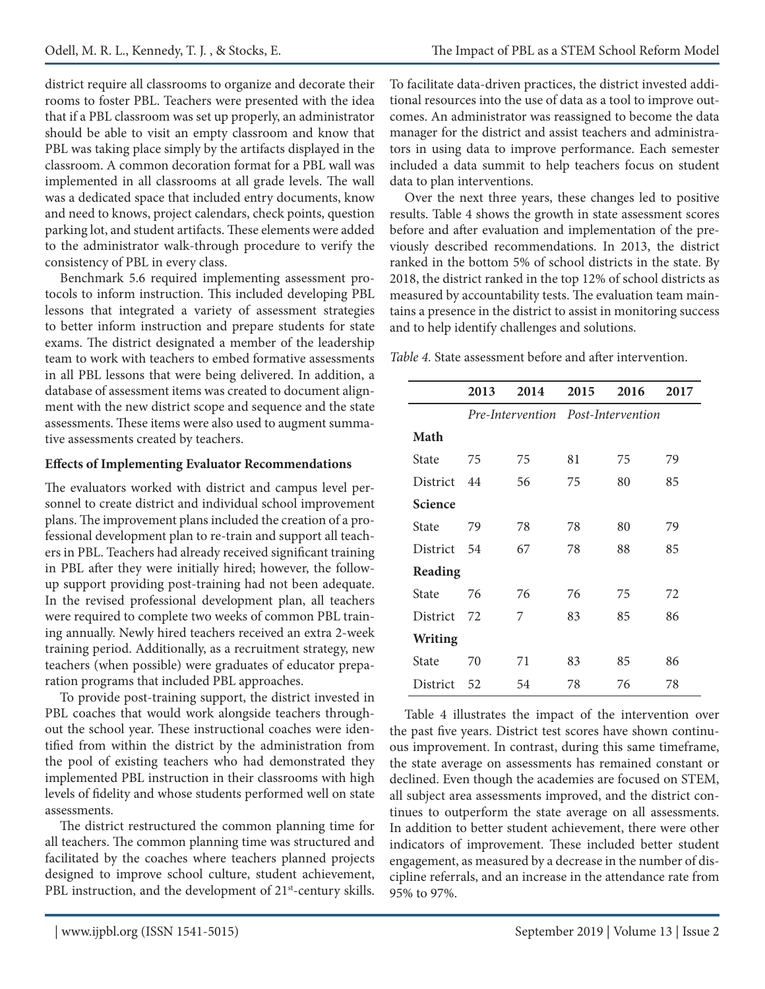district require all classrooms to organize and decorate their rooms to foster PBL. Teachers were presented with the idea that if a PBL classroom was set up properly, an administrator should be able to visit an empty classroom and know that PBL was taking place simply by the artifacts displayed in the classroom. A common decoration format for a PBL wall was implemented in all classrooms at all grade levels. The wall was a dedicated space that included entry documents, know and need to knows, project calendars, check points, question parking lot, and student artifacts. These elements were added to the administrator walk-through procedure to verify the consistency of PBL in every class.

Benchmark 5.6 required implementing assessment protocols to inform instruction. This included developing PBL lessons that integrated a variety of assessment strategies to better inform instruction and prepare students for state exams. The district designated a member of the leadership team to work with teachers to embed formative assessments in all PBL lessons that were being delivered. In addition, a database of assessment items was created to document alignment with the new district scope and sequence and the state assessments. These items were also used to augment summative assessments created by teachers.

#### **Effects of Implementing Evaluator Recommendations**

The evaluators worked with district and campus level personnel to create district and individual school improvement plans. The improvement plans included the creation of a professional development plan to re-train and support all teachers in PBL. Teachers had already received significant training in PBL after they were initially hired; however, the followup support providing post-training had not been adequate. In the revised professional development plan, all teachers were required to complete two weeks of common PBL training annually. Newly hired teachers received an extra 2-week training period. Additionally, as a recruitment strategy, new teachers (when possible) were graduates of educator preparation programs that included PBL approaches.

To provide post-training support, the district invested in PBL coaches that would work alongside teachers throughout the school year. These instructional coaches were identified from within the district by the administration from the pool of existing teachers who had demonstrated they implemented PBL instruction in their classrooms with high levels of fidelity and whose students performed well on state assessments.

The district restructured the common planning time for all teachers. The common planning time was structured and facilitated by the coaches where teachers planned projects designed to improve school culture, student achievement, PBL instruction, and the development of 21<sup>st</sup>-century skills. To facilitate data-driven practices, the district invested additional resources into the use of data as a tool to improve outcomes. An administrator was reassigned to become the data manager for the district and assist teachers and administrators in using data to improve performance. Each semester included a data summit to help teachers focus on student data to plan interventions.

Over the next three years, these changes led to positive results. Table 4 shows the growth in state assessment scores before and after evaluation and implementation of the previously described recommendations. In 2013, the district ranked in the bottom 5% of school districts in the state. By 2018, the district ranked in the top 12% of school districts as measured by accountability tests. The evaluation team maintains a presence in the district to assist in monitoring success and to help identify challenges and solutions.

*Table 4.* State assessment before and after intervention.

|                 | 2013                               | 2014 | 2015 | 2016 | 2017 |
|-----------------|------------------------------------|------|------|------|------|
|                 | Pre-Intervention Post-Intervention |      |      |      |      |
| Math            |                                    |      |      |      |      |
| State           | 75                                 | 75   | 81   | 75   | 79   |
| <b>District</b> | 44                                 | 56   | 75   | 80   | 85   |
| Science         |                                    |      |      |      |      |
| State           | 79                                 | 78   | 78   | 80   | 79   |
| <b>District</b> | 54                                 | 67   | 78   | 88   | 85   |
| Reading         |                                    |      |      |      |      |
| State           | 76                                 | 76   | 76   | 75   | 72   |
| District        | 72                                 | 7    | 83   | 85   | 86   |
| <b>Writing</b>  |                                    |      |      |      |      |
| State           | 70                                 | 71   | 83   | 85   | 86   |
| <b>District</b> | 52                                 | 54   | 78   | 76   | 78   |

Table 4 illustrates the impact of the intervention over the past five years. District test scores have shown continuous improvement. In contrast, during this same timeframe, the state average on assessments has remained constant or declined. Even though the academies are focused on STEM, all subject area assessments improved, and the district continues to outperform the state average on all assessments. In addition to better student achievement, there were other indicators of improvement. These included better student engagement, as measured by a decrease in the number of discipline referrals, and an increase in the attendance rate from 95% to 97%.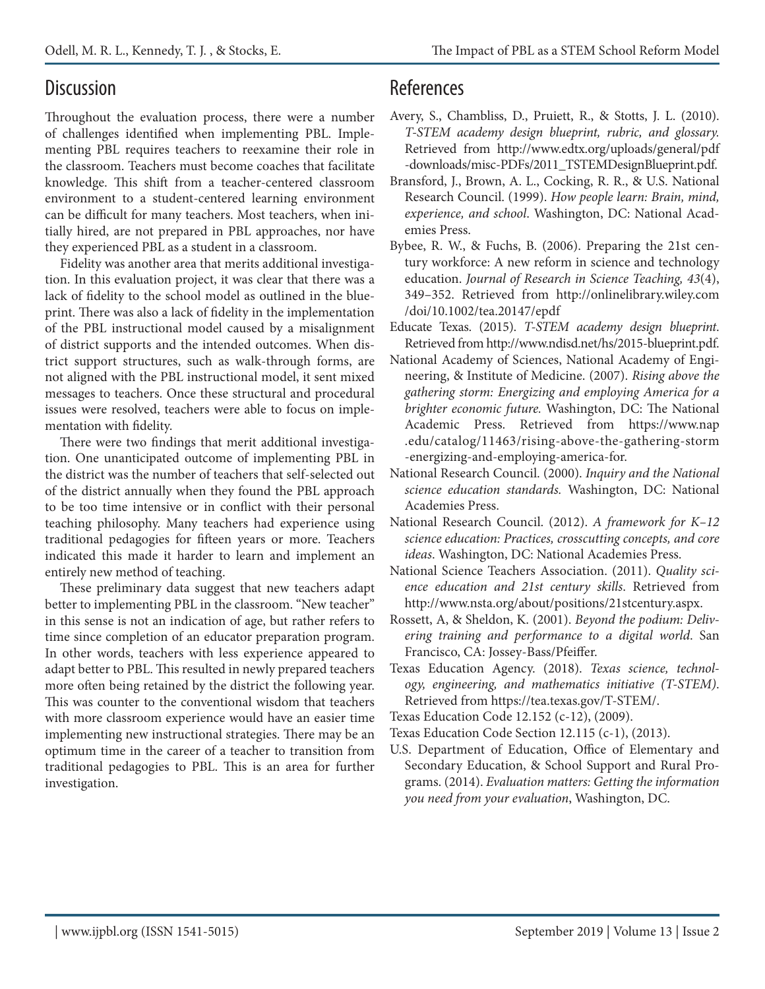## **Discussion**

Throughout the evaluation process, there were a number of challenges identified when implementing PBL. Implementing PBL requires teachers to reexamine their role in the classroom. Teachers must become coaches that facilitate knowledge. This shift from a teacher-centered classroom environment to a student-centered learning environment can be difficult for many teachers. Most teachers, when initially hired, are not prepared in PBL approaches, nor have they experienced PBL as a student in a classroom.

Fidelity was another area that merits additional investigation. In this evaluation project, it was clear that there was a lack of fidelity to the school model as outlined in the blueprint. There was also a lack of fidelity in the implementation of the PBL instructional model caused by a misalignment of district supports and the intended outcomes. When district support structures, such as walk-through forms, are not aligned with the PBL instructional model, it sent mixed messages to teachers. Once these structural and procedural issues were resolved, teachers were able to focus on implementation with fidelity.

There were two findings that merit additional investigation. One unanticipated outcome of implementing PBL in the district was the number of teachers that self-selected out of the district annually when they found the PBL approach to be too time intensive or in conflict with their personal teaching philosophy. Many teachers had experience using traditional pedagogies for fifteen years or more. Teachers indicated this made it harder to learn and implement an entirely new method of teaching.

These preliminary data suggest that new teachers adapt better to implementing PBL in the classroom. "New teacher" in this sense is not an indication of age, but rather refers to time since completion of an educator preparation program. In other words, teachers with less experience appeared to adapt better to PBL. This resulted in newly prepared teachers more often being retained by the district the following year. This was counter to the conventional wisdom that teachers with more classroom experience would have an easier time implementing new instructional strategies. There may be an optimum time in the career of a teacher to transition from traditional pedagogies to PBL. This is an area for further investigation.

## References

- Avery, S., Chambliss, D., Pruiett, R., & Stotts, J. L. (2010). *T-STEM academy design blueprint, rubric, and glossary.*  Retrieved from http://www.edtx.org/uploads/general/pdf -downloads/misc-PDFs/2011\_TSTEMDesignBlueprint.pdf.
- Bransford, J., Brown, A. L., Cocking, R. R., & U.S. National Research Council. (1999). *How people learn: Brain, mind, experience, and school*. Washington, DC: National Academies Press.
- Bybee, R. W., & Fuchs, B. (2006). Preparing the 21st century workforce: A new reform in science and technology education. *Journal of Research in Science Teaching, 43*(4), 349–352. Retrieved from http://onlinelibrary.wiley.com /doi/10.1002/tea.20147/epdf
- Educate Texas. (2015). *T-STEM academy design blueprint*. Retrieved from http://www.ndisd.net/hs/2015-blueprint.pdf.
- National Academy of Sciences, National Academy of Engineering, & Institute of Medicine. (2007). *Rising above the gathering storm: Energizing and employing America for a brighter economic future.* Washington, DC: The National Academic Press. Retrieved from https://www.nap .edu/catalog/11463/rising-above-the-gathering-storm -energizing-and-employing-america-for.
- National Research Council. (2000). *Inquiry and the National science education standards.* Washington, DC: National Academies Press.
- National Research Council. (2012). *A framework for K–12 science education: Practices, crosscutting concepts, and core ideas*. Washington, DC: National Academies Press.
- National Science Teachers Association. (2011). *Quality science education and 21st century skills*. Retrieved from http://www.nsta.org/about/positions/21stcentury.aspx.
- Rossett, A, & Sheldon, K. (2001). *Beyond the podium: Delivering training and performance to a digital world*. San Francisco, CA: Jossey-Bass/Pfeiffer.
- Texas Education Agency. (2018). *Texas science, technology, engineering, and mathematics initiative (T-STEM)*. Retrieved from https://tea.texas.gov/T-STEM/.
- Texas Education Code 12.152 (c-12), (2009).
- Texas Education Code Section 12.115 (c-1), (2013).
- U.S. Department of Education, Office of Elementary and Secondary Education, & School Support and Rural Programs. (2014). *Evaluation matters: Getting the information you need from your evaluation*, Washington, DC.